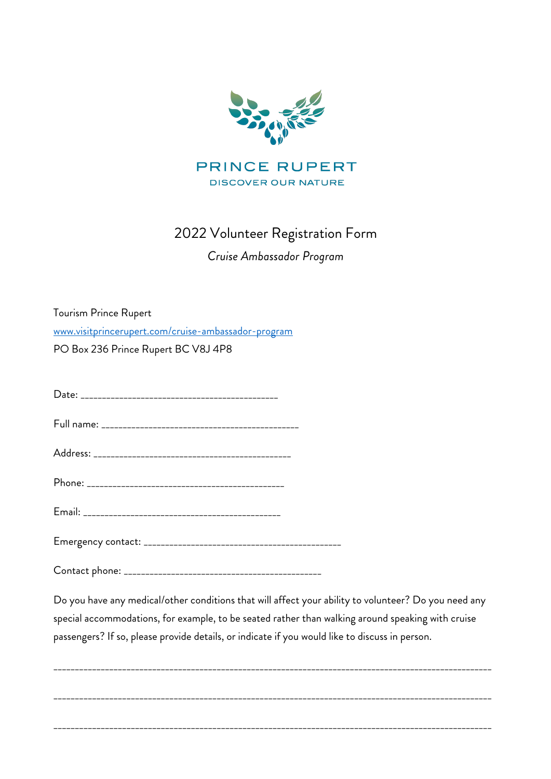

## 2022 Volunteer Registration Form

## *Cruise Ambassador Program*

Tourism Prince Rupert www.visitprincerupert.com/cruise-ambassador-program PO Box 236 Prince Rupert BC V8J 4P8

Date: \_\_\_\_\_\_\_\_\_\_\_\_\_\_\_\_\_\_\_\_\_\_\_\_\_\_\_\_\_\_\_\_\_\_\_\_\_\_\_\_\_\_\_\_\_\_ Full name: \_\_\_\_\_\_\_\_\_\_\_\_\_\_\_\_\_\_\_\_\_\_\_\_\_\_\_\_\_\_\_\_\_\_\_\_\_\_\_\_\_\_\_\_\_\_ Address: \_\_\_\_\_\_\_\_\_\_\_\_\_\_\_\_\_\_\_\_\_\_\_\_\_\_\_\_\_\_\_\_\_\_\_\_\_\_\_\_\_\_\_\_\_\_ Phone: \_\_\_\_\_\_\_\_\_\_\_\_\_\_\_\_\_\_\_\_\_\_\_\_\_\_\_\_\_\_\_\_\_\_\_\_\_\_\_\_\_\_\_\_\_\_ Email: \_\_\_\_\_\_\_\_\_\_\_\_\_\_\_\_\_\_\_\_\_\_\_\_\_\_\_\_\_\_\_\_\_\_\_\_\_\_\_\_\_\_\_\_\_\_ Emergency contact: \_\_\_\_\_\_\_\_\_\_\_\_\_\_\_\_\_\_\_\_\_\_\_\_\_\_\_\_\_\_\_\_\_\_\_\_\_\_\_\_\_\_\_\_\_\_

Contact phone: \_\_\_\_\_\_\_\_\_\_\_\_\_\_\_\_\_\_\_\_\_\_\_\_\_\_\_\_\_\_\_\_\_\_\_\_\_\_\_\_\_\_\_\_\_\_

Do you have any medical/other conditions that will affect your ability to volunteer? Do you need any special accommodations, for example, to be seated rather than walking around speaking with cruise passengers? If so, please provide details, or indicate if you would like to discuss in person.

\_\_\_\_\_\_\_\_\_\_\_\_\_\_\_\_\_\_\_\_\_\_\_\_\_\_\_\_\_\_\_\_\_\_\_\_\_\_\_\_\_\_\_\_\_\_\_\_\_\_\_\_\_\_\_\_\_\_\_\_\_\_\_\_\_\_\_\_\_\_\_\_\_\_\_\_\_\_\_\_\_\_\_\_\_\_\_\_\_\_\_\_\_\_\_\_\_\_\_\_\_\_

\_\_\_\_\_\_\_\_\_\_\_\_\_\_\_\_\_\_\_\_\_\_\_\_\_\_\_\_\_\_\_\_\_\_\_\_\_\_\_\_\_\_\_\_\_\_\_\_\_\_\_\_\_\_\_\_\_\_\_\_\_\_\_\_\_\_\_\_\_\_\_\_\_\_\_\_\_\_\_\_\_\_\_\_\_\_\_\_\_\_\_\_\_\_\_\_\_\_\_\_\_\_

\_\_\_\_\_\_\_\_\_\_\_\_\_\_\_\_\_\_\_\_\_\_\_\_\_\_\_\_\_\_\_\_\_\_\_\_\_\_\_\_\_\_\_\_\_\_\_\_\_\_\_\_\_\_\_\_\_\_\_\_\_\_\_\_\_\_\_\_\_\_\_\_\_\_\_\_\_\_\_\_\_\_\_\_\_\_\_\_\_\_\_\_\_\_\_\_\_\_\_\_\_\_